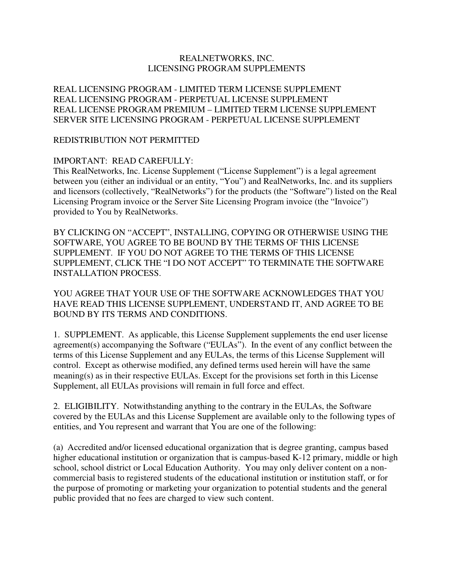## REALNETWORKS, INC. LICENSING PROGRAM SUPPLEMENTS

REAL LICENSING PROGRAM - LIMITED TERM LICENSE SUPPLEMENT REAL LICENSING PROGRAM - PERPETUAL LICENSE SUPPLEMENT REAL LICENSE PROGRAM PREMIUM – LIMITED TERM LICENSE SUPPLEMENT SERVER SITE LICENSING PROGRAM - PERPETUAL LICENSE SUPPLEMENT

#### REDISTRIBUTION NOT PERMITTED

### IMPORTANT: READ CAREFULLY:

This RealNetworks, Inc. License Supplement ("License Supplement") is a legal agreement between you (either an individual or an entity, "You") and RealNetworks, Inc. and its suppliers and licensors (collectively, "RealNetworks") for the products (the "Software") listed on the Real Licensing Program invoice or the Server Site Licensing Program invoice (the "Invoice") provided to You by RealNetworks.

BY CLICKING ON "ACCEPT", INSTALLING, COPYING OR OTHERWISE USING THE SOFTWARE, YOU AGREE TO BE BOUND BY THE TERMS OF THIS LICENSE SUPPLEMENT. IF YOU DO NOT AGREE TO THE TERMS OF THIS LICENSE SUPPLEMENT, CLICK THE "I DO NOT ACCEPT" TO TERMINATE THE SOFTWARE INSTALLATION PROCESS.

YOU AGREE THAT YOUR USE OF THE SOFTWARE ACKNOWLEDGES THAT YOU HAVE READ THIS LICENSE SUPPLEMENT, UNDERSTAND IT, AND AGREE TO BE BOUND BY ITS TERMS AND CONDITIONS.

1. SUPPLEMENT. As applicable, this License Supplement supplements the end user license agreement(s) accompanying the Software ("EULAs"). In the event of any conflict between the terms of this License Supplement and any EULAs, the terms of this License Supplement will control. Except as otherwise modified, any defined terms used herein will have the same meaning(s) as in their respective EULAs. Except for the provisions set forth in this License Supplement, all EULAs provisions will remain in full force and effect.

2. ELIGIBILITY. Notwithstanding anything to the contrary in the EULAs, the Software covered by the EULAs and this License Supplement are available only to the following types of entities, and You represent and warrant that You are one of the following:

(a) Accredited and/or licensed educational organization that is degree granting, campus based higher educational institution or organization that is campus-based K-12 primary, middle or high school, school district or Local Education Authority. You may only deliver content on a noncommercial basis to registered students of the educational institution or institution staff, or for the purpose of promoting or marketing your organization to potential students and the general public provided that no fees are charged to view such content.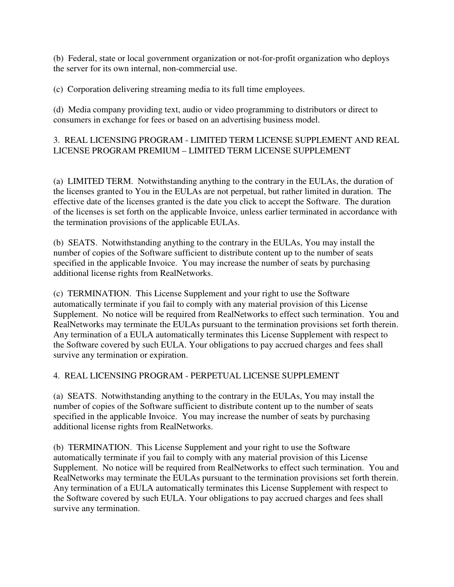(b) Federal, state or local government organization or not-for-profit organization who deploys the server for its own internal, non-commercial use.

(c) Corporation delivering streaming media to its full time employees.

(d) Media company providing text, audio or video programming to distributors or direct to consumers in exchange for fees or based on an advertising business model.

# 3. REAL LICENSING PROGRAM - LIMITED TERM LICENSE SUPPLEMENT AND REAL LICENSE PROGRAM PREMIUM – LIMITED TERM LICENSE SUPPLEMENT

(a) LIMITED TERM. Notwithstanding anything to the contrary in the EULAs, the duration of the licenses granted to You in the EULAs are not perpetual, but rather limited in duration. The effective date of the licenses granted is the date you click to accept the Software. The duration of the licenses is set forth on the applicable Invoice, unless earlier terminated in accordance with the termination provisions of the applicable EULAs.

(b) SEATS. Notwithstanding anything to the contrary in the EULAs, You may install the number of copies of the Software sufficient to distribute content up to the number of seats specified in the applicable Invoice. You may increase the number of seats by purchasing additional license rights from RealNetworks.

(c) TERMINATION. This License Supplement and your right to use the Software automatically terminate if you fail to comply with any material provision of this License Supplement. No notice will be required from RealNetworks to effect such termination. You and RealNetworks may terminate the EULAs pursuant to the termination provisions set forth therein. Any termination of a EULA automatically terminates this License Supplement with respect to the Software covered by such EULA. Your obligations to pay accrued charges and fees shall survive any termination or expiration.

# 4. REAL LICENSING PROGRAM - PERPETUAL LICENSE SUPPLEMENT

(a) SEATS. Notwithstanding anything to the contrary in the EULAs, You may install the number of copies of the Software sufficient to distribute content up to the number of seats specified in the applicable Invoice. You may increase the number of seats by purchasing additional license rights from RealNetworks.

(b) TERMINATION. This License Supplement and your right to use the Software automatically terminate if you fail to comply with any material provision of this License Supplement. No notice will be required from RealNetworks to effect such termination. You and RealNetworks may terminate the EULAs pursuant to the termination provisions set forth therein. Any termination of a EULA automatically terminates this License Supplement with respect to the Software covered by such EULA. Your obligations to pay accrued charges and fees shall survive any termination.